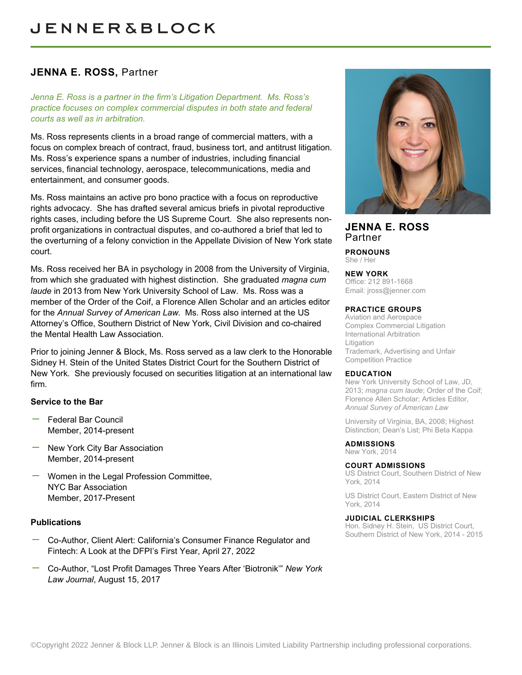# **JENNA E. ROSS,** Partner

*Jenna E. Ross is a partner in the firm's Litigation Department. Ms. Ross's practice focuses on complex commercial disputes in both state and federal courts as well as in arbitration.*

Ms. Ross represents clients in a broad range of commercial matters, with a focus on complex breach of contract, fraud, business tort, and antitrust litigation. Ms. Ross's experience spans a number of industries, including financial services, financial technology, aerospace, telecommunications, media and entertainment, and consumer goods.

Ms. Ross maintains an active pro bono practice with a focus on reproductive rights advocacy. She has drafted several amicus briefs in pivotal reproductive rights cases, including before the US Supreme Court. She also represents nonprofit organizations in contractual disputes, and co-authored a brief that led to the overturning of a felony conviction in the Appellate Division of New York state court.

Ms. Ross received her BA in psychology in 2008 from the University of Virginia, from which she graduated with highest distinction. She graduated *magna cum laude* in 2013 from New York University School of Law. Ms. Ross was a member of the Order of the Coif, a Florence Allen Scholar and an articles editor for the *Annual Survey of American Law*. Ms. Ross also interned at the US Attorney's Office, Southern District of New York, Civil Division and co-chaired the Mental Health Law Association.

Prior to joining Jenner & Block, Ms. Ross served as a law clerk to the Honorable Sidney H. Stein of the United States District Court for the Southern District of New York. She previously focused on securities litigation at an international law firm.

### **Service to the Bar**

- Federal Bar Council Member, 2014-present
- New York City Bar Association Member, 2014-present
- Women in the Legal Profession Committee, NYC Bar Association Member, 2017-Present

### **Publications**

- Co-Author, Client Alert: California's Consumer Finance Regulator and Fintech: A Look at the DFPI's First Year, April 27, 2022
- Co-Author, "Lost Profit Damages Three Years After 'Biotronik'" *New York Law Journal*, August 15, 2017



## **JENNA E. ROSS** Partner

**PRONOUNS** She / Her

#### **NEW YORK**

Office: 212 891-1668 Email: [jross@jenner.com](mailto:jross@jenner.com)

#### **PRACTICE GROUPS**

Aviation and Aerospace Complex Commercial Litigation International Arbitration Litigation Trademark, Advertising and Unfair Competition Practice

#### **EDUCATION**

New York University School of Law, JD, 2013; *magna cum laude*; Order of the Coif; Florence Allen Scholar; Articles Editor, *Annual Survey of American Law*

University of Virginia, BA, 2008; Highest Distinction; Dean's List; Phi Beta Kappa

### **ADMISSIONS**

New York, 2014

#### **COURT ADMISSIONS**

US District Court, Southern District of New York, 2014

US District Court, Eastern District of New York, 2014

#### **JUDICIAL CLERKSHIPS**

Hon. Sidney H. Stein, US District Court, Southern District of New York, 2014 - 2015